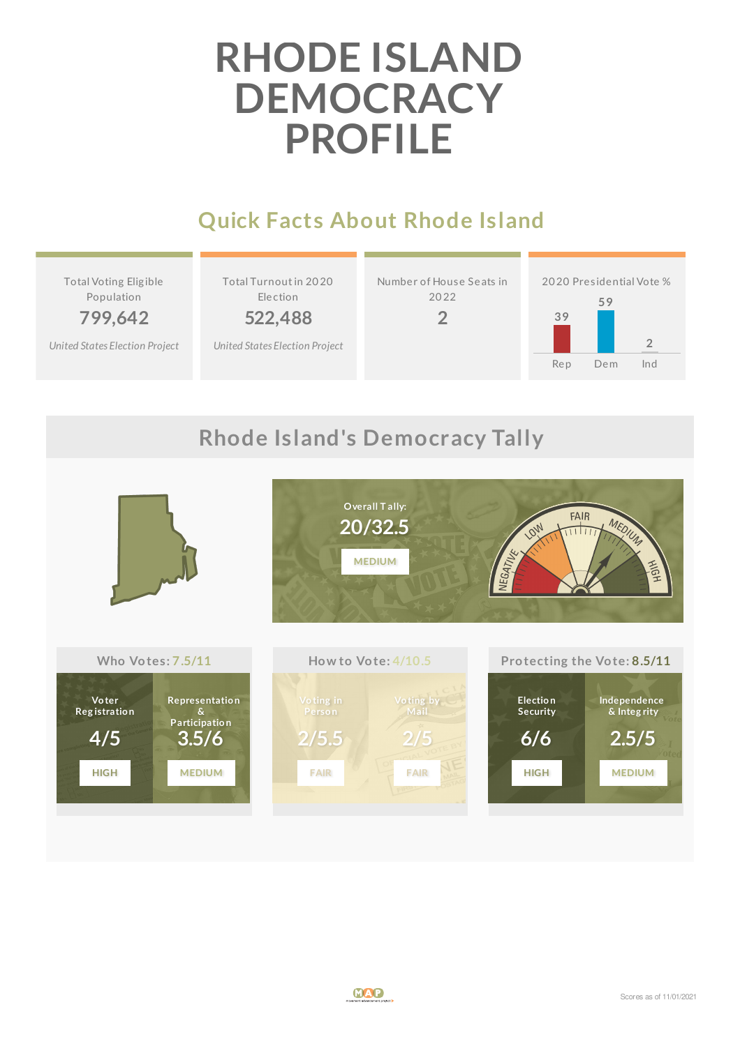# **RHODE ISLAND DEMOCRACY PROFILE**

## **Quick Facts About Rhode Island**

Total Voting Elig ible Population

**799,642**

*United States [Election](http://www.electproject.org/2020g) Project*

Total Turnoutin 20 20 Election

**522,488**

*United States [Election](http://www.electproject.org/2020g) Project*





## **Rhode Island's Democracy Tally**

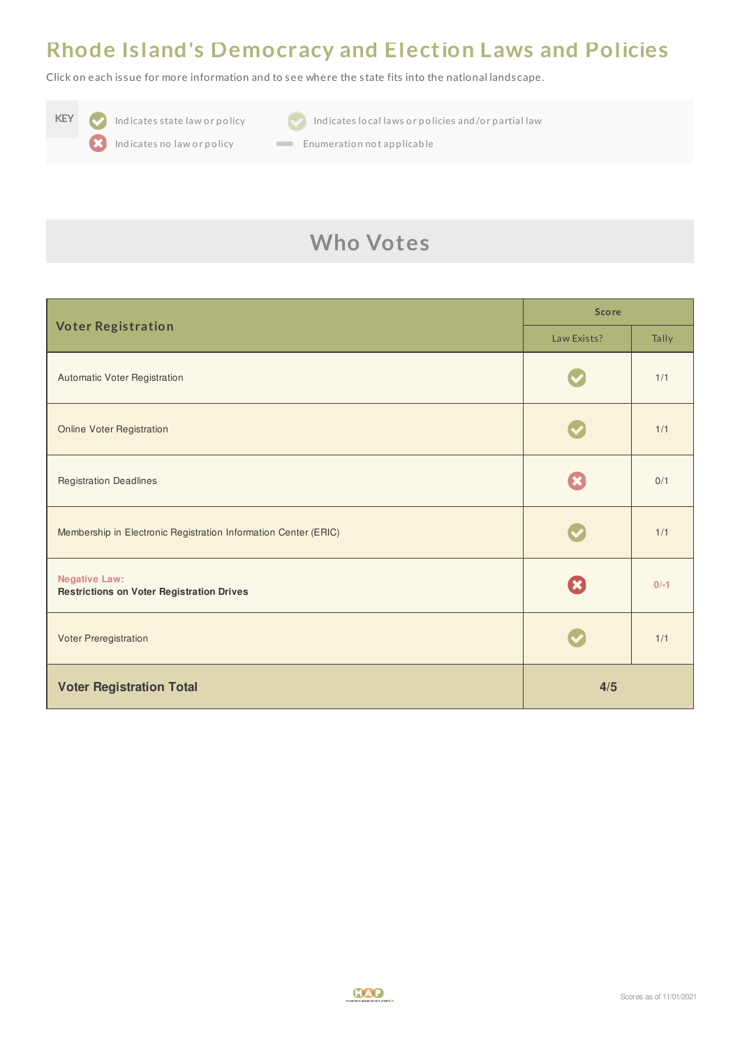#### **Rhode Island's Democracy and Election Laws and Policies**

Click on each is sue for more information and to see where the s tate fits into the national landscape.





**KEY Indicates state law or policy Indicates local laws or policies and/or partial law** 

Indicates no law or policy **Enumeration not applicable** 

## **Who Votes**

| <b>Voter Registration</b>                                                | <b>Score</b> |        |
|--------------------------------------------------------------------------|--------------|--------|
|                                                                          | Law Exists?  | Tally  |
| Automatic Voter Registration                                             |              | 1/1    |
| <b>Online Voter Registration</b>                                         |              | 1/1    |
| <b>Registration Deadlines</b>                                            |              | 0/1    |
| Membership in Electronic Registration Information Center (ERIC)          |              | 1/1    |
| <b>Negative Law:</b><br><b>Restrictions on Voter Registration Drives</b> |              | $0/-1$ |
| Voter Preregistration                                                    |              | 1/1    |
| <b>Voter Registration Total</b>                                          | 4/5          |        |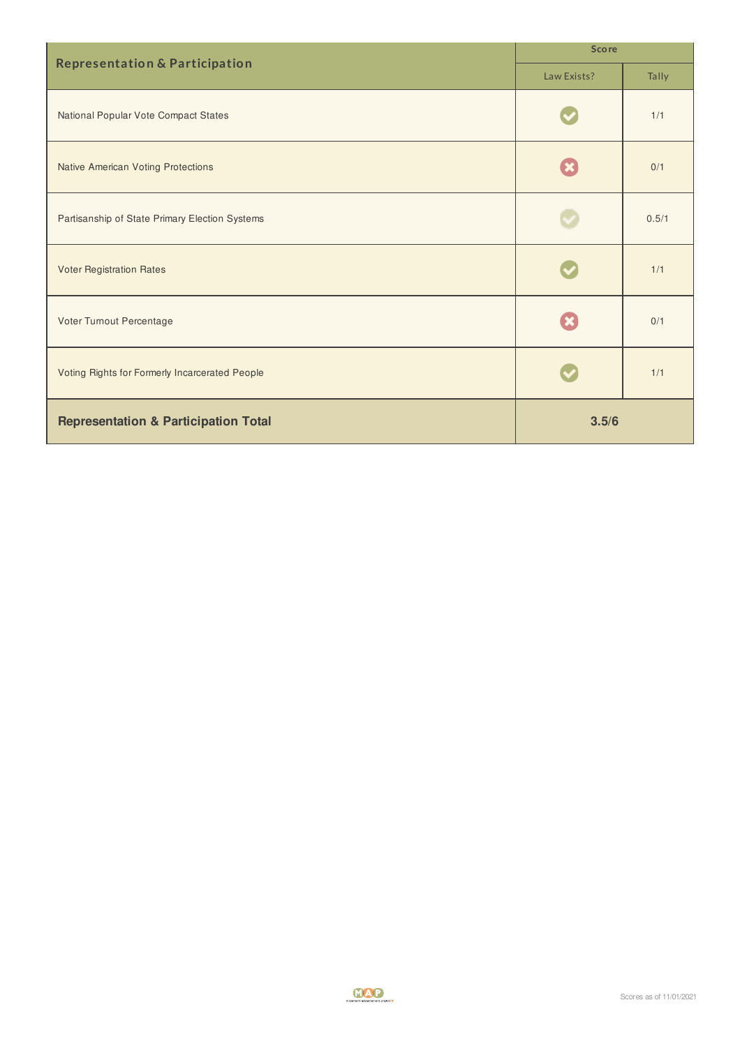| <b>Representation &amp; Participation</b>       | <b>Score</b> |       |
|-------------------------------------------------|--------------|-------|
|                                                 | Law Exists?  | Tally |
| National Popular Vote Compact States            |              | 1/1   |
| <b>Native American Voting Protections</b>       |              | 0/1   |
| Partisanship of State Primary Election Systems  |              | 0.5/1 |
| <b>Voter Registration Rates</b>                 |              | 1/1   |
| Voter Turnout Percentage                        |              | 0/1   |
| Voting Rights for Formerly Incarcerated People  |              | 1/1   |
| <b>Representation &amp; Participation Total</b> | 3.5/6        |       |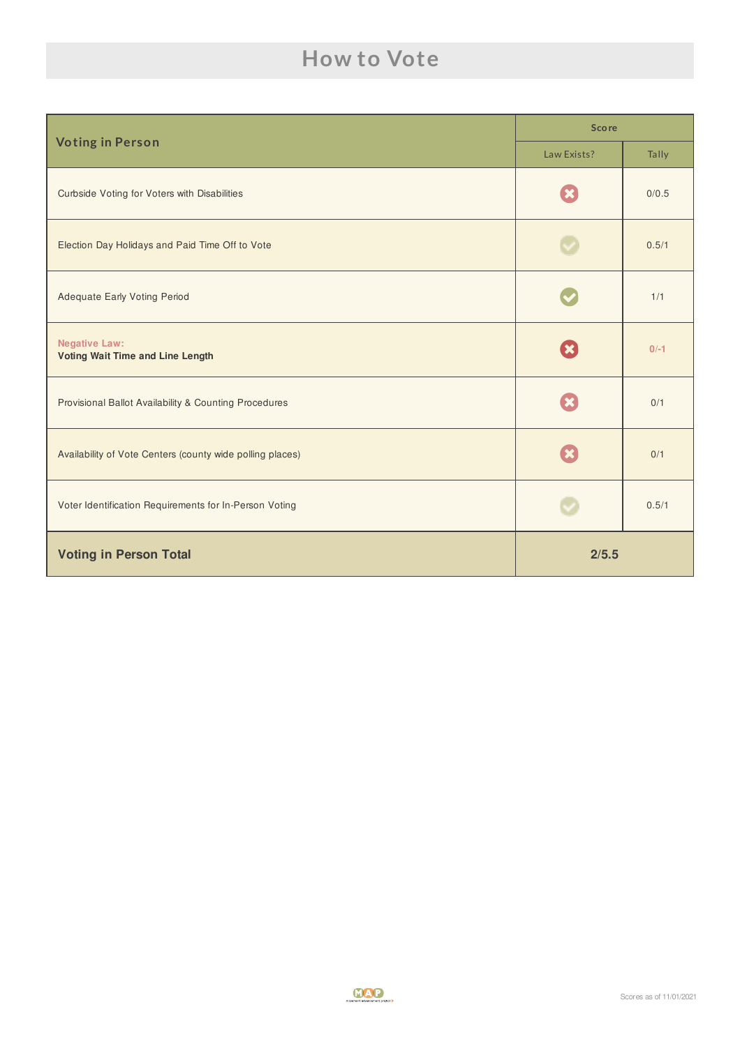### **How to Vote**

| <b>Voting in Person</b>                                         | <b>Score</b> |        |
|-----------------------------------------------------------------|--------------|--------|
|                                                                 | Law Exists?  | Tally  |
| Curbside Voting for Voters with Disabilities                    |              | 0/0.5  |
| Election Day Holidays and Paid Time Off to Vote                 |              | 0.5/1  |
| <b>Adequate Early Voting Period</b>                             |              | 1/1    |
| <b>Negative Law:</b><br><b>Voting Wait Time and Line Length</b> | $\mathbf x$  | $0/-1$ |
| Provisional Ballot Availability & Counting Procedures           |              | 0/1    |
| Availability of Vote Centers (county wide polling places)       |              | 0/1    |
| Voter Identification Requirements for In-Person Voting          |              | 0.5/1  |
| <b>Voting in Person Total</b>                                   | 2/5.5        |        |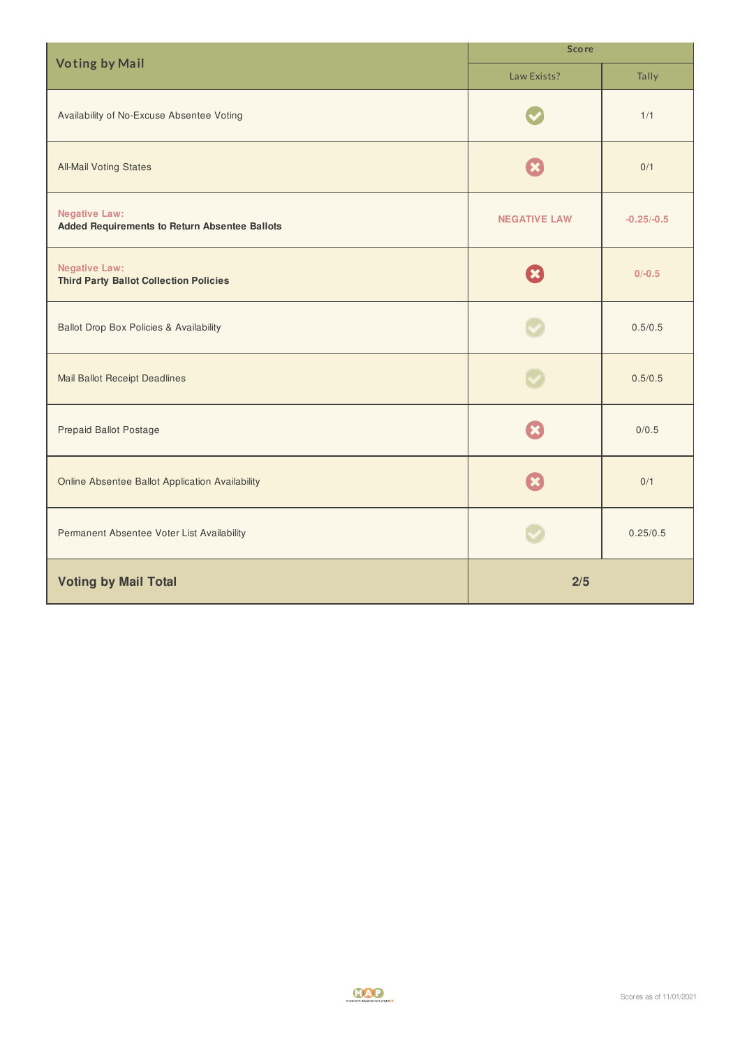| <b>Voting by Mail</b>                                                        | <b>Score</b>        |              |  |
|------------------------------------------------------------------------------|---------------------|--------------|--|
|                                                                              | Law Exists?         | Tally        |  |
| Availability of No-Excuse Absentee Voting                                    |                     | 1/1          |  |
| <b>All-Mail Voting States</b>                                                |                     | 0/1          |  |
| <b>Negative Law:</b><br><b>Added Requirements to Return Absentee Ballots</b> | <b>NEGATIVE LAW</b> | $-0.25/-0.5$ |  |
| <b>Negative Law:</b><br><b>Third Party Ballot Collection Policies</b>        |                     | $0/-0.5$     |  |
| <b>Ballot Drop Box Policies &amp; Availability</b>                           |                     | 0.5/0.5      |  |
| <b>Mail Ballot Receipt Deadlines</b>                                         |                     | 0.5/0.5      |  |
| <b>Prepaid Ballot Postage</b>                                                |                     | 0/0.5        |  |
| Online Absentee Ballot Application Availability                              |                     | 0/1          |  |
| Permanent Absentee Voter List Availability                                   |                     | 0.25/0.5     |  |
| <b>Voting by Mail Total</b>                                                  | 2/5                 |              |  |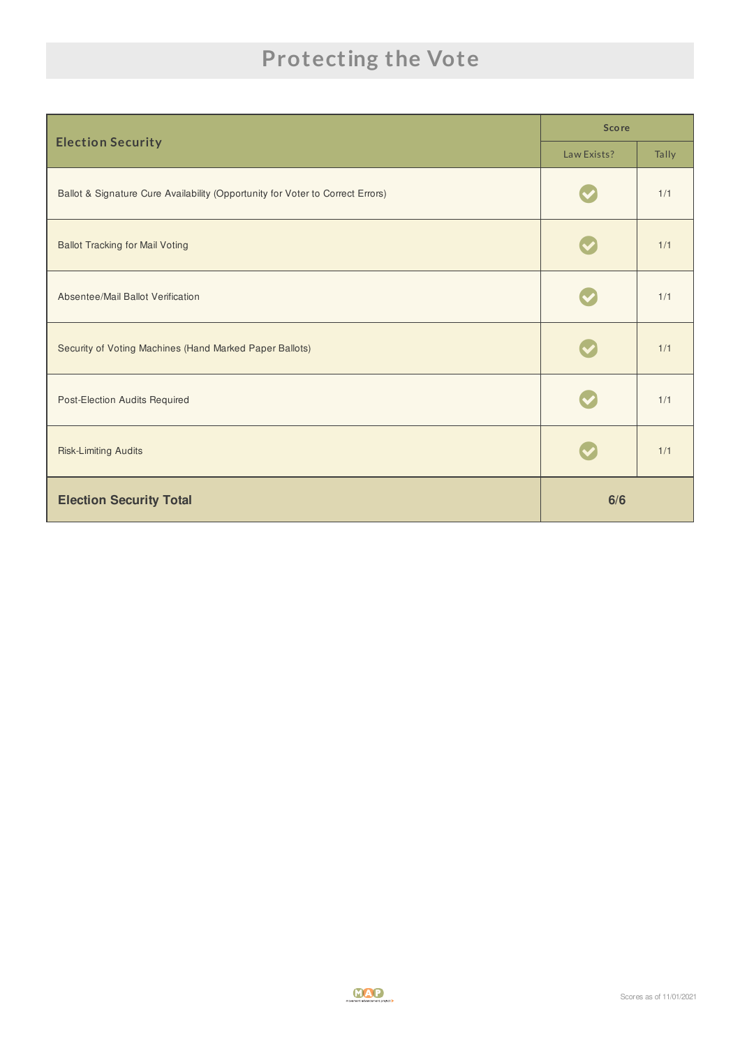## **Protecting the Vote**

| <b>Election Security</b>                                                       | <b>Score</b> |       |
|--------------------------------------------------------------------------------|--------------|-------|
|                                                                                | Law Exists?  | Tally |
| Ballot & Signature Cure Availability (Opportunity for Voter to Correct Errors) |              | 1/1   |
| <b>Ballot Tracking for Mail Voting</b>                                         |              | 1/1   |
| Absentee/Mail Ballot Verification                                              |              | 1/1   |
| Security of Voting Machines (Hand Marked Paper Ballots)                        |              | 1/1   |
| Post-Election Audits Required                                                  |              | 1/1   |
| <b>Risk-Limiting Audits</b>                                                    |              | 1/1   |
| <b>Election Security Total</b>                                                 | 6/6          |       |